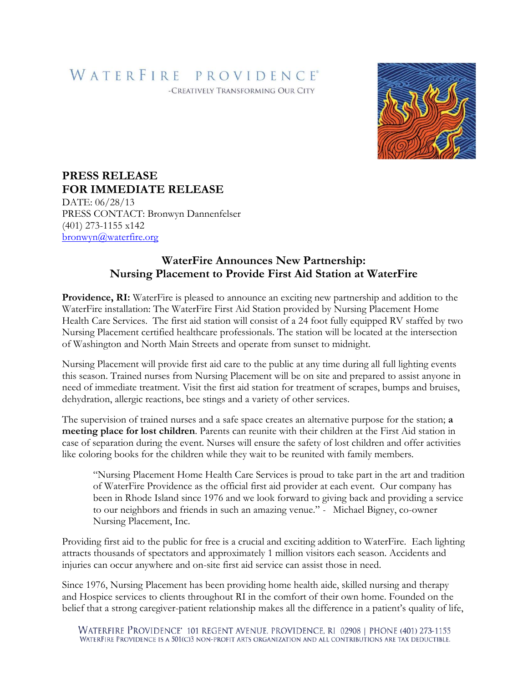## WATERFIRE PROVIDENCE®

-CREATIVELY TRANSFORMING OUR CITY



## **PRESS RELEASE FOR IMMEDIATE RELEASE**

DATE: 06/28/13 PRESS CONTACT: Bronwyn Dannenfelser (401) 273-1155 x142 [bronwyn@waterfire.org](mailto:bronwyn@waterfire.org)

## **WaterFire Announces New Partnership: Nursing Placement to Provide First Aid Station at WaterFire**

**Providence, RI:** WaterFire is pleased to announce an exciting new partnership and addition to the WaterFire installation: The WaterFire First Aid Station provided by Nursing Placement Home Health Care Services. The first aid station will consist of a 24 foot fully equipped RV staffed by two Nursing Placement certified healthcare professionals. The station will be located at the intersection of Washington and North Main Streets and operate from sunset to midnight.

Nursing Placement will provide first aid care to the public at any time during all full lighting events this season. Trained nurses from Nursing Placement will be on site and prepared to assist anyone in need of immediate treatment. Visit the first aid station for treatment of scrapes, bumps and bruises, dehydration, allergic reactions, bee stings and a variety of other services.

The supervision of trained nurses and a safe space creates an alternative purpose for the station; **a meeting place for lost children**. Parents can reunite with their children at the First Aid station in case of separation during the event. Nurses will ensure the safety of lost children and offer activities like coloring books for the children while they wait to be reunited with family members.

"Nursing Placement Home Health Care Services is proud to take part in the art and tradition of WaterFire Providence as the official first aid provider at each event. Our company has been in Rhode Island since 1976 and we look forward to giving back and providing a service to our neighbors and friends in such an amazing venue." *-* Michael Bigney, co-owner Nursing Placement, Inc.

Providing first aid to the public for free is a crucial and exciting addition to WaterFire. Each lighting attracts thousands of spectators and approximately 1 million visitors each season. Accidents and injuries can occur anywhere and on-site first aid service can assist those in need.

Since 1976, Nursing Placement has been providing home health aide, skilled nursing and therapy and Hospice services to clients throughout RI in the comfort of their own home. Founded on the belief that a strong caregiver-patient relationship makes all the difference in a patient's quality of life,